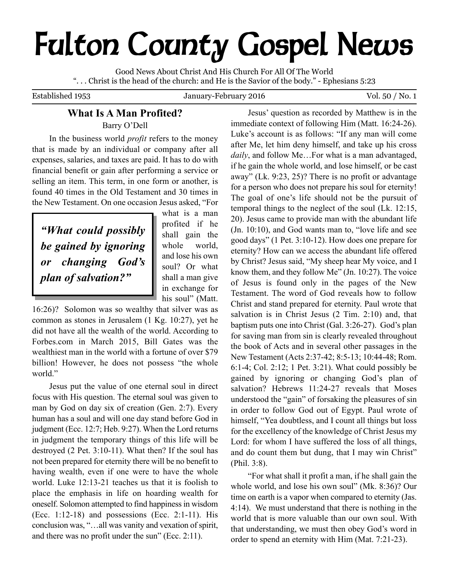# **Fulton County Gospel News**

Good News About Christ And His Church For All Of The World ". . . Christ is the head of the church: and He is the Savior of the body." - Ephesians 5:23

Established 1953 January-February 2016 Vol. 50 / No. 1

# **What Is A Man Profited?** Barry O'Dell

In the business world *profit* refers to the money that is made by an individual or company after all expenses, salaries, and taxes are paid. It has to do with financial benefit or gain after performing a service or selling an item. This term, in one form or another, is found 40 times in the Old Testament and 30 times in the New Testament. On one occasion Jesus asked, "For

*"What could possibly be gained by ignoring or changing God's plan of salvation?"*

what is a man profited if he shall gain the whole world, and lose his own soul? Or what shall a man give in exchange for his soul" (Matt.

16:26)? Solomon was so wealthy that silver was as common as stones in Jerusalem (1 Kg. 10:27), yet he did not have all the wealth of the world. According to Forbes.com in March 2015, Bill Gates was the wealthiest man in the world with a fortune of over \$79 billion! However, he does not possess "the whole world."

Jesus put the value of one eternal soul in direct focus with His question. The eternal soul was given to man by God on day six of creation (Gen. 2:7). Every human has a soul and will one day stand before God in judgment (Ecc. 12:7; Heb. 9:27). When the Lord returns in judgment the temporary things of this life will be destroyed (2 Pet. 3:10-11). What then? If the soul has not been prepared for eternity there will be no benefit to having wealth, even if one were to have the whole world. Luke 12:13-21 teaches us that it is foolish to place the emphasis in life on hoarding wealth for oneself. Solomon attempted to find happinessin wisdom (Ecc. 1:12-18) and possessions (Ecc. 2:1-11). His conclusion was, "…all was vanity and vexation of spirit, and there was no profit under the sun" (Ecc. 2:11).

Jesus' question as recorded by Matthew is in the immediate context of following Him (Matt. 16:24-26). Luke's account is as follows: "If any man will come after Me, let him deny himself, and take up his cross *daily*, and follow Me…For what is a man advantaged, if he gain the whole world, and lose himself, or be cast away" (Lk. 9:23, 25)? There is no profit or advantage for a person who does not prepare his soul for eternity! The goal of one's life should not be the pursuit of temporal things to the neglect of the soul (Lk. 12:15, 20). Jesus came to provide man with the abundant life (Jn. 10:10), and God wants man to, "love life and see good days" (1 Pet. 3:10-12). How does one prepare for eternity? How can we access the abundant life offered by Christ? Jesus said, "My sheep hear My voice, and I know them, and they follow Me" (Jn. 10:27). The voice of Jesus is found only in the pages of the New Testament. The word of God reveals how to follow Christ and stand prepared for eternity. Paul wrote that salvation is in Christ Jesus (2 Tim. 2:10) and, that baptism puts one into Christ (Gal. 3:26-27). God's plan for saving man from sin is clearly revealed throughout the book of Acts and in several other passages in the New Testament (Acts 2:37-42; 8:5-13; 10:44-48; Rom. 6:1-4; Col. 2:12; 1 Pet. 3:21). What could possibly be gained by ignoring or changing God's plan of salvation? Hebrews 11:24-27 reveals that Moses understood the "gain" of forsaking the pleasures of sin in order to follow God out of Egypt. Paul wrote of himself, "Yea doubtless, and I count all things but loss for the excellency of the knowledge of Christ Jesus my Lord: for whom I have suffered the loss of all things, and do count them but dung, that I may win Christ" (Phil. 3:8).

"For what shall it profit a man, if he shall gain the whole world, and lose his own soul" (Mk. 8:36)? Our time on earth is a vapor when compared to eternity (Jas. 4:14). We must understand that there is nothing in the world that is more valuable than our own soul. With that understanding, we must then obey God's word in order to spend an eternity with Him (Mat. 7:21-23).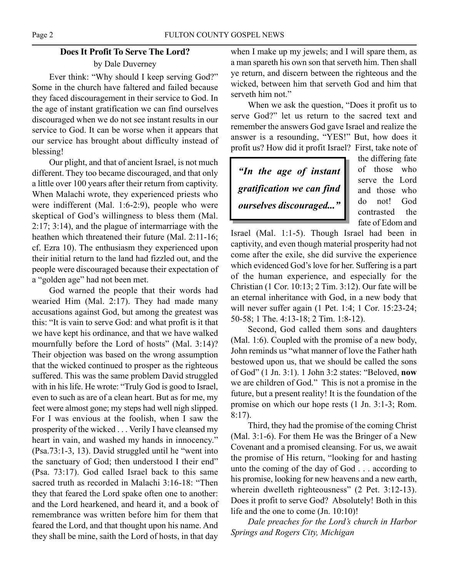# **Does It Profit To Serve The Lord?** by Dale Duverney

Ever think: "Why should I keep serving God?" Some in the church have faltered and failed because they faced discouragement in their service to God. In the age of instant gratification we can find ourselves discouraged when we do not see instant results in our service to God. It can be worse when it appears that our service has brought about difficulty instead of blessing!

Our plight, and that of ancient Israel, is not much different. They too became discouraged, and that only a little over 100 years after their return from captivity. When Malachi wrote, they experienced priests who were indifferent (Mal. 1:6-2:9), people who were skeptical of God's willingness to bless them (Mal. 2:17; 3:14), and the plague of intermarriage with the heathen which threatened their future (Mal. 2:11-16; cf. Ezra 10). The enthusiasm they experienced upon their initial return to the land had fizzled out, and the people were discouraged because their expectation of a "golden age" had not been met.

God warned the people that their words had wearied Him (Mal. 2:17). They had made many accusations against God, but among the greatest was this: "It is vain to serve God: and what profit is it that we have kept his ordinance, and that we have walked mournfully before the Lord of hosts" (Mal. 3:14)? Their objection was based on the wrong assumption that the wicked continued to prosper as the righteous suffered. This was the same problem David struggled with in his life. He wrote: "Truly God is good to Israel, even to such as are of a clean heart. But as for me, my feet were almost gone; my steps had well nigh slipped. For I was envious at the foolish, when I saw the prosperity of the wicked . . . Verily I have cleansed my heart in vain, and washed my hands in innocency." (Psa.73:1-3, 13). David struggled until he "went into the sanctuary of God; then understood I their end" (Psa. 73:17). God called Israel back to this same sacred truth as recorded in Malachi 3:16-18: "Then they that feared the Lord spake often one to another: and the Lord hearkened, and heard it, and a book of remembrance was written before him for them that feared the Lord, and that thought upon his name. And they shall be mine, saith the Lord of hosts, in that day

when I make up my jewels; and I will spare them, as a man spareth his own son that serveth him. Then shall ye return, and discern between the righteous and the wicked, between him that serveth God and him that serveth him not."

When we ask the question, "Does it profit us to serve God?" let us return to the sacred text and remember the answers God gave Israel and realize the answer is a resounding, "YES!" But, how does it profit us? How did it profit Israel? First, take note of

*"In the age of instant gratification we can find ourselves discouraged..."*

the differing fate of those who serve the Lord and those who do not! God contrasted the fate of Edom and

Israel (Mal. 1:1-5). Though Israel had been in captivity, and even though material prosperity had not come after the exile, she did survive the experience which evidenced God's love for her. Suffering is a part of the human experience, and especially for the Christian (1 Cor. 10:13; 2 Tim. 3:12). Our fate will be an eternal inheritance with God, in a new body that will never suffer again (1 Pet. 1:4; 1 Cor. 15:23-24; 50-58; 1 The. 4:13-18; 2 Tim. 1:8-12).

Second, God called them sons and daughters (Mal. 1:6). Coupled with the promise of a new body, John reminds us "what manner of love the Father hath bestowed upon us, that we should be called the sons of God" (1 Jn. 3:1). 1 John 3:2 states: "Beloved, **now** we are children of God." This is not a promise in the future, but a present reality! It is the foundation of the promise on which our hope rests (1 Jn. 3:1-3; Rom. 8:17).

Third, they had the promise of the coming Christ (Mal. 3:1-6). For them He was the Bringer of a New Covenant and a promised cleansing. For us, we await the promise of His return, "looking for and hasting unto the coming of the day of God . . . according to his promise, looking for new heavens and a new earth, wherein dwelleth righteousness" (2 Pet. 3:12-13). Does it profit to serve God? Absolutely! Both in this life and the one to come (Jn. 10:10)!

*Dale preaches for the Lord's church in Harbor Springs and Rogers City, Michigan*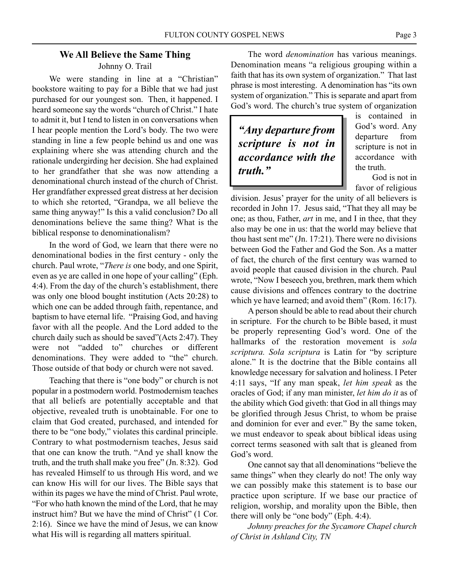Johnny O. Trail

We were standing in line at a "Christian" bookstore waiting to pay for a Bible that we had just purchased for our youngest son. Then, it happened. I heard someone say the words "church of Christ." I hate to admit it, but I tend to listen in on conversations when I hear people mention the Lord's body. The two were standing in line a few people behind us and one was explaining where she was attending church and the rationale undergirding her decision. She had explained to her grandfather that she was now attending a denominational church instead of the church of Christ. Her grandfather expressed great distress at her decision to which she retorted, "Grandpa, we all believe the same thing anyway!" Is this a valid conclusion? Do all denominations believe the same thing? What is the biblical response to denominationalism?

In the word of God, we learn that there were no denominational bodies in the first century - only the church. Paul wrote, "*There is* one body, and one Spirit, even as ye are called in one hope of your calling" (Eph. 4:4). From the day of the church's establishment, there was only one blood bought institution (Acts 20:28) to which one can be added through faith, repentance, and baptism to have eternal life. "Praising God, and having favor with all the people. And the Lord added to the church daily such as should be saved"(Acts 2:47). They were not "added to" churches or different denominations. They were added to "the" church. Those outside of that body or church were not saved.

Teaching that there is "one body" or church is not popular in a postmodern world. Postmodernism teaches that all beliefs are potentially acceptable and that objective, revealed truth is unobtainable. For one to claim that God created, purchased, and intended for there to be "one body," violates this cardinal principle. Contrary to what postmodernism teaches, Jesus said that one can know the truth. "And ye shall know the truth, and the truth shall make you free" (Jn. 8:32). God has revealed Himself to us through His word, and we can know His will for our lives. The Bible says that within its pages we have the mind of Christ. Paul wrote, "For who hath known the mind of the Lord, that he may instruct him? But we have the mind of Christ" (1 Cor. 2:16). Since we have the mind of Jesus, we can know what His will is regarding all matters spiritual.

The word *denomination* has various meanings. Denomination means "a religious grouping within a faith that has its own system of organization." That last phrase is most interesting. A denomination has "its own system of organization." This is separate and apart from God's word. The church's true system of organization

*"Any departure from scripture is not in accordance with the truth."*

is contained in God's word. Any departure from scripture is not in accordance with the truth.

God is not in favor of religious

division. Jesus' prayer for the unity of all believers is recorded in John 17. Jesus said, "That they all may be one; as thou, Father, *art* in me, and I in thee, that they also may be one in us: that the world may believe that thou hast sent me" (Jn. 17:21). There were no divisions between God the Father and God the Son. As a matter of fact, the church of the first century was warned to avoid people that caused division in the church. Paul wrote, "Now I beseech you, brethren, mark them which cause divisions and offences contrary to the doctrine which ye have learned; and avoid them" (Rom. 16:17).

A person should be able to read about their church in scripture. For the church to be Bible based, it must be properly representing God's word. One of the hallmarks of the restoration movement is *sola scriptura. Sola scriptura* is Latin for "by scripture alone." It is the doctrine that the Bible contains all knowledge necessary for salvation and holiness. I Peter 4:11 says, "If any man speak, *let him speak* as the oracles of God; if any man minister, *let him do it* as of the ability which God giveth: that God in all things may be glorified through Jesus Christ, to whom be praise and dominion for ever and ever." By the same token, we must endeavor to speak about biblical ideas using correct terms seasoned with salt that is gleaned from God's word.

One cannot say that all denominations "believe the same things" when they clearly do not! The only way we can possibly make this statement is to base our practice upon scripture. If we base our practice of religion, worship, and morality upon the Bible, then there will only be "one body" (Eph. 4:4).

*Johnny preaches for the Sycamore Chapel church of Christ in Ashland City, TN*